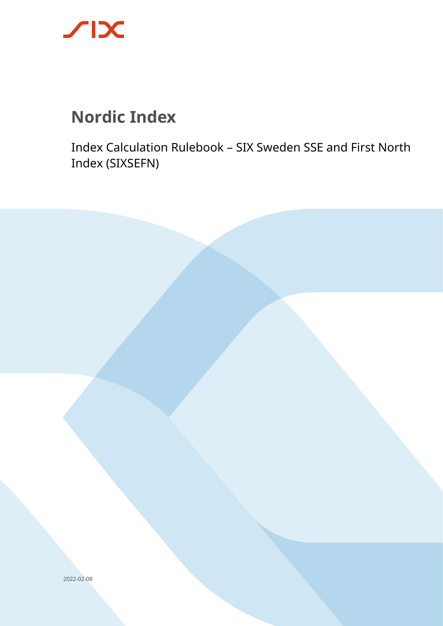

# **Nordic Index**

Index Calculation Rulebook – SIX Sweden SSE and First North Index (SIXSEFN)

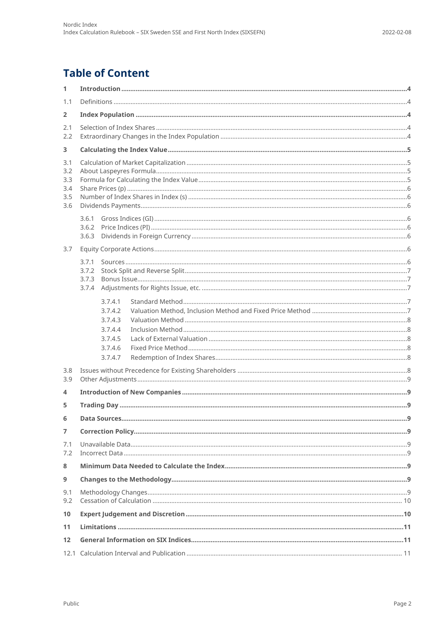# **Table of Content**

| 1                 |                    |  |
|-------------------|--------------------|--|
| 1.1               |                    |  |
| $\overline{2}$    |                    |  |
| 2.1               |                    |  |
| 2.2               |                    |  |
| 3                 |                    |  |
| 3.1<br>3.2        |                    |  |
| 3.3               |                    |  |
| 3.4<br>3.5        |                    |  |
| 3.6               |                    |  |
|                   | 3.6.1              |  |
|                   | 3.6.2<br>3.6.3     |  |
| 3.7               |                    |  |
|                   | 3.7.1              |  |
|                   | 3.7.2              |  |
|                   | 3.7.3<br>3.7.4     |  |
|                   |                    |  |
|                   | 3.7.4.1<br>3.7.4.2 |  |
|                   | 3.7.4.3            |  |
|                   | 3.7.4.4<br>3.7.4.5 |  |
|                   | 3.7.4.6            |  |
|                   | 3.7.4.7            |  |
| 3.8               |                    |  |
| 3.9               |                    |  |
| 4                 |                    |  |
| 5                 |                    |  |
| 6                 |                    |  |
| $\overline{7}$    |                    |  |
| 7.1<br>7.2        |                    |  |
| 8                 |                    |  |
| 9                 |                    |  |
| 9.1               |                    |  |
| 9.2               |                    |  |
| 10                |                    |  |
| 11                |                    |  |
| $12 \overline{ }$ |                    |  |
|                   |                    |  |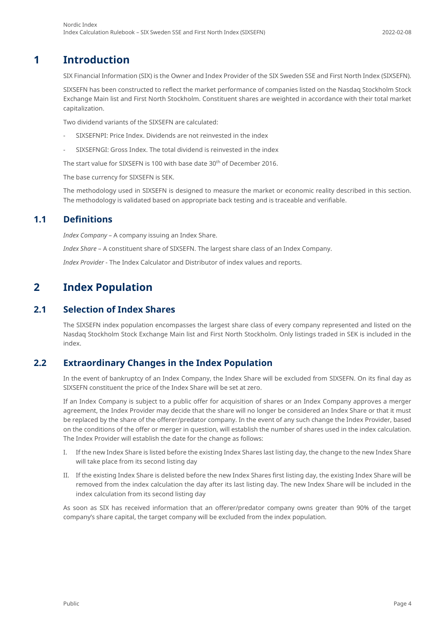#### 2022-02-08

# **1 Introduction**

<span id="page-3-0"></span>SIX Financial Information (SIX) is the Owner and Index Provider of the SIX Sweden SSE and First North Index (SIXSEFN).

SIXSEFN has been constructed to reflect the market performance of companies listed on the Nasdaq Stockholm Stock Exchange Main list and First North Stockholm. Constituent shares are weighted in accordance with their total market capitalization.

Two dividend variants of the SIXSEFN are calculated:

- SIXSEFNPI: Price Index. Dividends are not reinvested in the index
- SIXSEFNGI: Gross Index. The total dividend is reinvested in the index

The start value for SIXSEFN is 100 with base date 30th of December 2016.

The base currency for SIXSEFN is SEK.

<span id="page-3-1"></span>The methodology used in SIXSEFN is designed to measure the market or economic reality described in this section. The methodology is validated based on appropriate back testing and is traceable and verifiable.

### **1.1 Definitions**

*Index Company* – A company issuing an Index Share.

*Index Share* – A constituent share of SIXSEFN. The largest share class of an Index Company.

<span id="page-3-2"></span>*Index Provider* - The Index Calculator and Distributor of index values and reports.

# **2 Index Population**

### **2.1 Selection of Index Shares**

<span id="page-3-3"></span>The SIXSEFN index population encompasses the largest share class of every company represented and listed on the Nasdaq Stockholm Stock Exchange Main list and First North Stockholm. Only listings traded in SEK is included in the index.

### **2.2 Extraordinary Changes in the Index Population**

<span id="page-3-4"></span>In the event of bankruptcy of an Index Company, the Index Share will be excluded from SIXSEFN. On its final day as SIXSEFN constituent the price of the Index Share will be set at zero.

If an Index Company is subject to a public offer for acquisition of shares or an Index Company approves a merger agreement, the Index Provider may decide that the share will no longer be considered an Index Share or that it must be replaced by the share of the offerer/predator company. In the event of any such change the Index Provider, based on the conditions of the offer or merger in question, will establish the number of shares used in the index calculation. The Index Provider will establish the date for the change as follows:

- I. If the new Index Share is listed before the existing Index Shares last listing day, the change to the new Index Share will take place from its second listing day
- II. If the existing Index Share is delisted before the new Index Shares first listing day, the existing Index Share will be removed from the index calculation the day after its last listing day. The new Index Share will be included in the index calculation from its second listing day

As soon as SIX has received information that an offerer/predator company owns greater than 90% of the target company's share capital, the target company will be excluded from the index population.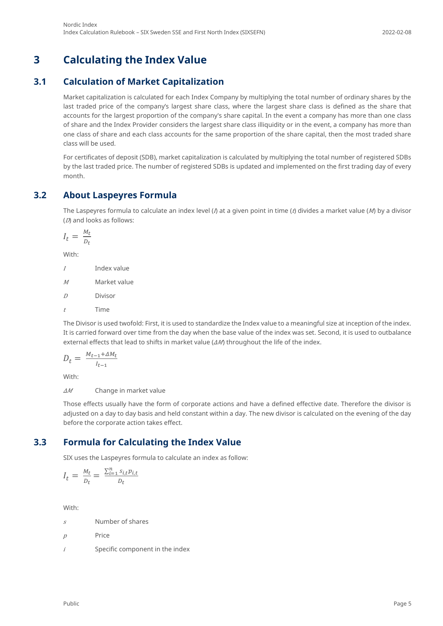# <span id="page-4-0"></span>**3 Calculating the Index Value**

# **3.1 Calculation of Market Capitalization**

<span id="page-4-1"></span>Market capitalization is calculated for each Index Company by multiplying the total number of ordinary shares by the last traded price of the company's largest share class, where the largest share class is defined as the share that accounts for the largest proportion of the company's share capital. In the event a company has more than one class of share and the Index Provider considers the largest share class illiquidity or in the event, a company has more than one class of share and each class accounts for the same proportion of the share capital, then the most traded share class will be used.

For certificates of deposit (SDB), market capitalization is calculated by multiplying the total number of registered SDBs by the last traded price. The number of registered SDBs is updated and implemented on the first trading day of every month.

## **3.2 About Laspeyres Formula**

<span id="page-4-2"></span>The Laspeyres formula to calculate an index level ( $\eta$  at a given point in time ( $\eta$  divides a market value ( $M$ ) by a divisor (D) and looks as follows:

$$
I_t = \frac{M_t}{D_t}
$$

With:

I Index value

<sup>M</sup> Market value

D Divisor

<sup>t</sup> Time

The Divisor is used twofold: First, it is used to standardize the Index value to a meaningful size at inception of the index. It is carried forward over time from the day when the base value of the index was set. Second, it is used to outbalance external effects that lead to shifts in market value ( $\Delta M$ ) throughout the life of the index.

$$
D_t = \frac{M_{t-1} + \Delta M_t}{I_{t-1}}
$$

With:

ΔM Change in market value

Those effects usually have the form of corporate actions and have a defined effective date. Therefore the divisor is adjusted on a day to day basis and held constant within a day. The new divisor is calculated on the evening of the day before the corporate action takes effect.

### **3.3 Formula for Calculating the Index Value**

<span id="page-4-3"></span>SIX uses the Laspeyres formula to calculate an index as follow:

$$
I_t = \frac{M_t}{D_t} = \frac{\sum_{i=1}^{n} s_{i,t} p_{i,t}}{D_t}
$$

With:

 $s$  Number of shares

 $p$  Price

 $i$  Specific component in the index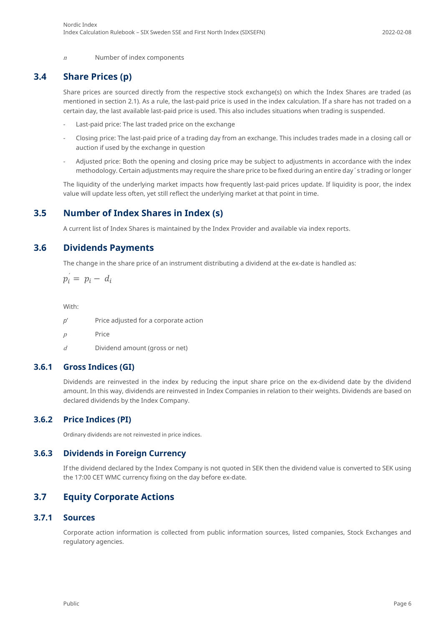<span id="page-5-0"></span> $n$  Number of index components

### **3.4 Share Prices (p)**

Share prices are sourced directly from the respective stock exchange(s) on which the Index Shares are traded (as mentioned in section 2.1). As a rule, the last-paid price is used in the index calculation. If a share has not traded on a certain day, the last available last-paid price is used. This also includes situations when trading is suspended.

- Last-paid price: The last traded price on the exchange
- Closing price: The last-paid price of a trading day from an exchange. This includes trades made in a closing call or auction if used by the exchange in question
- Adjusted price: Both the opening and closing price may be subject to adjustments in accordance with the index methodology. Certain adjustments may require the share price to be fixed during an entire day´s trading or longer

<span id="page-5-1"></span>The liquidity of the underlying market impacts how frequently last-paid prices update. If liquidity is poor, the index value will update less often, yet still reflect the underlying market at that point in time.

### **3.5 Number of Index Shares in Index (s)**

<span id="page-5-2"></span>A current list of Index Shares is maintained by the Index Provider and available via index reports.

### **3.6 Dividends Payments**

The change in the share price of an instrument distributing a dividend at the ex-date is handled as:

 $p_i = p_i - d_i$ 

With:

- *p*' Price adjusted for a corporate action
- <sup>p</sup> Price
- <span id="page-5-3"></span> $d$  Dividend amount (gross or net)

#### **3.6.1 Gross Indices (GI)**

Dividends are reinvested in the index by reducing the input share price on the ex-dividend date by the dividend amount. In this way, dividends are reinvested in Index Companies in relation to their weights. Dividends are based on declared dividends by the Index Company.

#### **3.6.2 Price Indices (PI)**

<span id="page-5-5"></span><span id="page-5-4"></span>Ordinary dividends are not reinvested in price indices.

#### **3.6.3 Dividends in Foreign Currency**

<span id="page-5-6"></span>If the dividend declared by the Index Company is not quoted in SEK then the dividend value is converted to SEK using the 17:00 CET WMC currency fixing on the day before ex-date.

### **3.7 Equity Corporate Actions**

### **3.7.1 Sources**

<span id="page-5-7"></span>Corporate action information is collected from public information sources, listed companies, Stock Exchanges and regulatory agencies.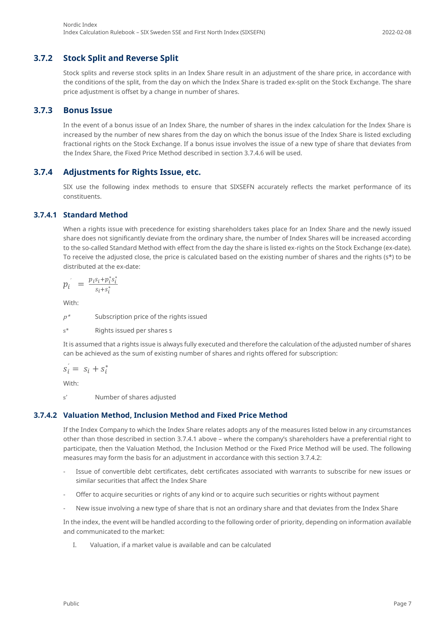#### **3.7.2 Stock Split and Reverse Split**

<span id="page-6-0"></span>Stock splits and reverse stock splits in an Index Share result in an adjustment of the share price, in accordance with the conditions of the split, from the day on which the Index Share is traded ex-split on the Stock Exchange. The share price adjustment is offset by a change in number of shares.

#### **3.7.3 Bonus Issue**

<span id="page-6-1"></span>In the event of a bonus issue of an Index Share, the number of shares in the index calculation for the Index Share is increased by the number of new shares from the day on which the bonus issue of the Index Share is listed excluding fractional rights on the Stock Exchange. If a bonus issue involves the issue of a new type of share that deviates from the Index Share, the Fixed Price Method described in section 3.7.4.6 will be used.

#### **3.7.4 Adjustments for Rights Issue, etc.**

<span id="page-6-2"></span>SIX use the following index methods to ensure that SIXSEFN accurately reflects the market performance of its constituents.

#### **3.7.4.1 Standard Method**

<span id="page-6-3"></span>When a rights issue with precedence for existing shareholders takes place for an Index Share and the newly issued share does not significantly deviate from the ordinary share, the number of Index Shares will be increased according to the so-called Standard Method with effect from the day the share is listed ex-rights on the Stock Exchange (ex-date). To receive the adjusted close, the price is calculated based on the existing number of shares and the rights (s\*) to be distributed at the ex-date:

$$
p_i^{\prime} = \frac{p_i s_i + p_i^* s_i^*}{s_i + s_i^*}
$$

With:

 $p^*$  Subscription price of the rights issued

s\* Rights issued per shares s

It is assumed that a rights issue is always fully executed and therefore the calculation of the adjusted number of shares can be achieved as the sum of existing number of shares and rights offered for subscription:

$$
s_i = s_i + s_i^*
$$

With:

<span id="page-6-4"></span>s' Number of shares adjusted

#### **3.7.4.2 Valuation Method, Inclusion Method and Fixed Price Method**

If the Index Company to which the Index Share relates adopts any of the measures listed below in any circumstances other than those described in section 3.7.4.1 above – where the company's shareholders have a preferential right to participate, then the Valuation Method, the Inclusion Method or the Fixed Price Method will be used. The following measures may form the basis for an adjustment in accordance with this section 3.7.4.2:

- Issue of convertible debt certificates, debt certificates associated with warrants to subscribe for new issues or similar securities that affect the Index Share
- Offer to acquire securities or rights of any kind or to acquire such securities or rights without payment
- New issue involving a new type of share that is not an ordinary share and that deviates from the Index Share

In the index, the event will be handled according to the following order of priority, depending on information available and communicated to the market:

I. Valuation, if a market value is available and can be calculated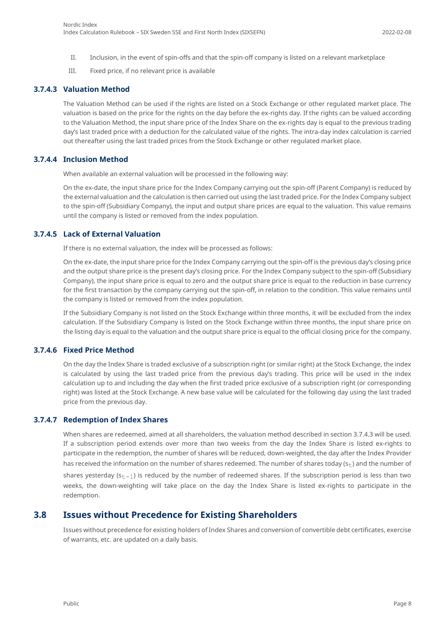- II. Inclusion, in the event of spin-offs and that the spin-off company is listed on a relevant marketplace
- <span id="page-7-0"></span>III. Fixed price, if no relevant price is available

#### **3.7.4.3 Valuation Method**

The Valuation Method can be used if the rights are listed on a Stock Exchange or other regulated market place. The valuation is based on the price for the rights on the day before the ex-rights day. If the rights can be valued according to the Valuation Method, the input share price of the Index Share on the ex-rights day is equal to the previous trading day's last traded price with a deduction for the calculated value of the rights. The intra-day index calculation is carried out thereafter using the last traded prices from the Stock Exchange or other regulated market place.

#### **3.7.4.4 Inclusion Method**

<span id="page-7-1"></span>When available an external valuation will be processed in the following way:

On the ex-date, the input share price for the Index Company carrying out the spin-off (Parent Company) is reduced by the external valuation and the calculation is then carried out using the last traded price. For the Index Company subject to the spin-off (Subsidiary Company), the input and output share prices are equal to the valuation. This value remains until the company is listed or removed from the index population.

#### **3.7.4.5 Lack of External Valuation**

<span id="page-7-2"></span>If there is no external valuation, the index will be processed as follows:

On the ex-date, the input share price for the Index Company carrying out the spin-off is the previous day's closing price and the output share price is the present day's closing price. For the Index Company subject to the spin-off (Subsidiary Company), the input share price is equal to zero and the output share price is equal to the reduction in base currency for the first transaction by the company carrying out the spin-off, in relation to the condition. This value remains until the company is listed or removed from the index population.

If the Subsidiary Company is not listed on the Stock Exchange within three months, it will be excluded from the index calculation. If the Subsidiary Company is listed on the Stock Exchange within three months, the input share price on the listing day is equal to the valuation and the output share price is equal to the official closing price for the company.

#### **3.7.4.6 Fixed Price Method**

<span id="page-7-3"></span>On the day the Index Share is traded exclusive of a subscription right (or similar right) at the Stock Exchange, the index is calculated by using the last traded price from the previous day's trading. This price will be used in the index calculation up to and including the day when the first traded price exclusive of a subscription right (or corresponding right) was listed at the Stock Exchange. A new base value will be calculated for the following day using the last traded price from the previous day.

#### **3.7.4.7 Redemption of Index Shares**

<span id="page-7-4"></span>When shares are redeemed, aimed at all shareholders, the valuation method described in section 3.7.4.3 will be used. If a subscription period extends over more than two weeks from the day the Index Share is listed ex-rights to participate in the redemption, the number of shares will be reduced, down-weighted, the day after the Index Provider has received the information on the number of shares redeemed. The number of shares today ( $s_t$ ) and the number of shares yesterday ( $s_{t-1}$ ) is reduced by the number of redeemed shares. If the subscription period is less than two weeks, the down-weighting will take place on the day the Index Share is listed ex-rights to participate in the redemption.

#### **3.8 Issues without Precedence for Existing Shareholders**

<span id="page-7-5"></span>Issues without precedence for existing holders of Index Shares and conversion of convertible debt certificates, exercise of warrants, etc. are updated on a daily basis.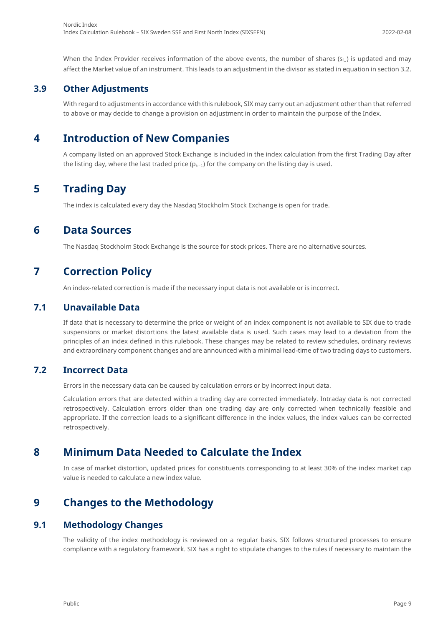### **3.9 Other Adjustments**

<span id="page-8-1"></span><span id="page-8-0"></span>With regard to adjustments in accordance with this rulebook, SIX may carry out an adjustment other than that referred to above or may decide to change a provision on adjustment in order to maintain the purpose of the Index.

# **4 Introduction of New Companies**

<span id="page-8-2"></span>A company listed on an approved Stock Exchange is included in the index calculation from the first Trading Day after the listing day, where the last traded price ( $p_{t-1}$ ) for the company on the listing day is used.

# **5 Trading Day**

<span id="page-8-3"></span>The index is calculated every day the Nasdaq Stockholm Stock Exchange is open for trade.

# **6 Data Sources**

<span id="page-8-4"></span>The Nasdaq Stockholm Stock Exchange is the source for stock prices. There are no alternative sources.

# **7 Correction Policy**

<span id="page-8-5"></span>An index-related correction is made if the necessary input data is not available or is incorrect.

### **7.1 Unavailable Data**

If data that is necessary to determine the price or weight of an index component is not available to SIX due to trade suspensions or market distortions the latest available data is used. Such cases may lead to a deviation from the principles of an index defined in this rulebook. These changes may be related to review schedules, ordinary reviews and extraordinary component changes and are announced with a minimal lead-time of two trading days to customers.

### **7.2 Incorrect Data**

<span id="page-8-6"></span>Errors in the necessary data can be caused by calculation errors or by incorrect input data.

Calculation errors that are detected within a trading day are corrected immediately. Intraday data is not corrected retrospectively. Calculation errors older than one trading day are only corrected when technically feasible and appropriate. If the correction leads to a significant difference in the index values, the index values can be corrected retrospectively.

# **8 Minimum Data Needed to Calculate the Index**

<span id="page-8-8"></span><span id="page-8-7"></span>In case of market distortion, updated prices for constituents corresponding to at least 30% of the index market cap value is needed to calculate a new index value.

# **9 Changes to the Methodology**

### **9.1 Methodology Changes**

<span id="page-8-9"></span>The validity of the index methodology is reviewed on a regular basis. SIX follows structured processes to ensure compliance with a regulatory framework. SIX has a right to stipulate changes to the rules if necessary to maintain the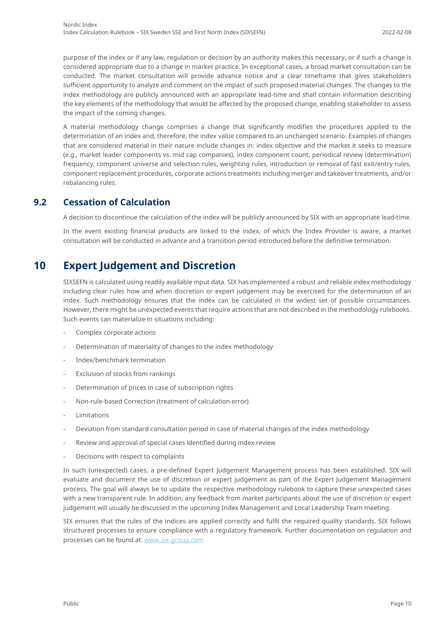purpose of the index or if any law, regulation or decision by an authority makes this necessary, or if such a change is considered appropriate due to a change in market practice. In exceptional cases, a broad market consultation can be conducted. The market consultation will provide advance notice and a clear timeframe that gives stakeholders sufficient opportunity to analyze and comment on the impact of such proposed material changes. The changes to the index methodology are publicly announced with an appropriate lead-time and shall contain information describing the key elements of the methodology that would be affected by the proposed change, enabling stakeholder to assess the impact of the coming changes.

A material methodology change comprises a change that significantly modifies the procedures applied to the determination of an index and, therefore, the index value compared to an unchanged scenario. Examples of changes that are considered material in their nature include changes in: index objective and the market it seeks to measure (e.g., market leader components vs. mid cap companies), index component count, periodical review (determination) frequency, component universe and selection rules, weighting rules, introduction or removal of fast exit/entry rules, component replacement procedures, corporate actions treatments including merger and takeover treatments, and/or rebalancing rules.

### **9.2 Cessation of Calculation**

<span id="page-9-0"></span>A decision to discontinue the calculation of the index will be publicly announced by SIX with an appropriate lead-time.

<span id="page-9-1"></span>In the event existing financial products are linked to the index, of which the Index Provider is aware, a market consultation will be conducted in advance and a transition period introduced before the definitive termination.

# **10 Expert Judgement and Discretion**

SIXSEFN is calculated using readily available input data. SIX has implemented a robust and reliable index methodology including clear rules how and when discretion or expert judgement may be exercised for the determination of an index. Such methodology ensures that the index can be calculated in the widest set of possible circumstances. However, there might be unexpected events that require actions that are not described in the methodology rulebooks. Such events can materialize in situations including:

- Complex corporate actions
- Determination of materiality of changes to the index methodology
- Index/benchmark termination
- Exclusion of stocks from rankings
- Determination of prices in case of subscription rights
- Non-rule-based Correction (treatment of calculation error)
- Limitations
- Deviation from standard consultation period in case of material changes of the index methodology
- Review and approval of special cases identified during index review
- Decisions with respect to complaints

In such (unexpected) cases, a pre-defined Expert Judgement Management process has been established. SIX will evaluate and document the use of discretion or expert judgement as part of the Expert Judgement Management process. The goal will always be to update the respective methodology rulebook to capture these unexpected cases with a new transparent rule. In addition, any feedback from market participants about the use of discretion or expert judgement will usually be discussed in the upcoming Index Management and Local Leadership Team meeting.

SIX ensures that the rules of the indices are applied correctly and fulfil the required quality standards. SIX follows structured processes to ensure compliance with a regulatory framework. Further documentation on regulation and processes can be found at: [www.six-group.com](http://www.six-group.com/)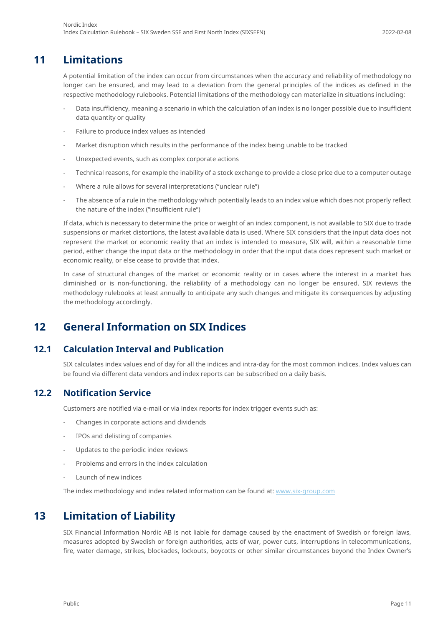# **11 Limitations**

<span id="page-10-0"></span>A potential limitation of the index can occur from circumstances when the accuracy and reliability of methodology no longer can be ensured, and may lead to a deviation from the general principles of the indices as defined in the respective methodology rulebooks. Potential limitations of the methodology can materialize in situations including:

- Data insufficiency, meaning a scenario in which the calculation of an index is no longer possible due to insufficient data quantity or quality
- Failure to produce index values as intended
- Market disruption which results in the performance of the index being unable to be tracked
- Unexpected events, such as complex corporate actions
- Technical reasons, for example the inability of a stock exchange to provide a close price due to a computer outage
- Where a rule allows for several interpretations ("unclear rule")
- The absence of a rule in the methodology which potentially leads to an index value which does not properly reflect the nature of the index ("insufficient rule")

If data, which is necessary to determine the price or weight of an index component, is not available to SIX due to trade suspensions or market distortions, the latest available data is used. Where SIX considers that the input data does not represent the market or economic reality that an index is intended to measure, SIX will, within a reasonable time period, either change the input data or the methodology in order that the input data does represent such market or economic reality, or else cease to provide that index.

In case of structural changes of the market or economic reality or in cases where the interest in a market has diminished or is non-functioning, the reliability of a methodology can no longer be ensured. SIX reviews the methodology rulebooks at least annually to anticipate any such changes and mitigate its consequences by adjusting the methodology accordingly.

# <span id="page-10-1"></span>**12 General Information on SIX Indices**

### **12.1 Calculation Interval and Publication**

<span id="page-10-3"></span><span id="page-10-2"></span>SIX calculates index values end of day for all the indices and intra-day for the most common indices. Index values can be found via different data vendors and index reports can be subscribed on a daily basis.

### **12.2 Notification Service**

Customers are notified via e-mail or via index reports for index trigger events such as:

- Changes in corporate actions and dividends
- IPOs and delisting of companies
- Updates to the periodic index reviews
- Problems and errors in the index calculation
- Launch of new indices

<span id="page-10-4"></span>The index methodology and index related information can be found at: [www.six-group.com](http://www.six-group.com/)

# **13 Limitation of Liability**

SIX Financial Information Nordic AB is not liable for damage caused by the enactment of Swedish or foreign laws, measures adopted by Swedish or foreign authorities, acts of war, power cuts, interruptions in telecommunications, fire, water damage, strikes, blockades, lockouts, boycotts or other similar circumstances beyond the Index Owner's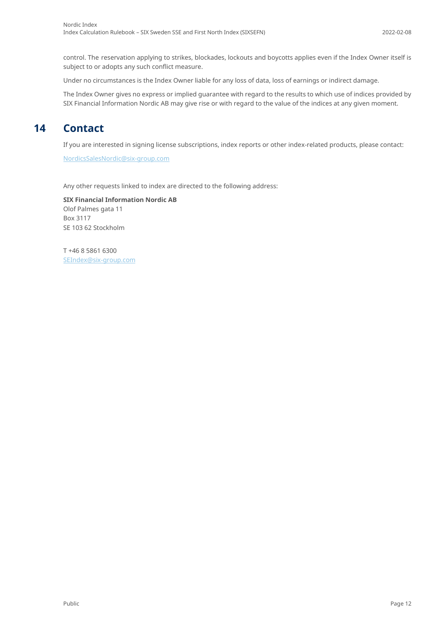control. The reservation applying to strikes, blockades, lockouts and boycotts applies even if the Index Owner itself is subject to or adopts any such conflict measure.

Under no circumstances is the Index Owner liable for any loss of data, loss of earnings or indirect damage.

<span id="page-11-0"></span>The Index Owner gives no express or implied guarantee with regard to the results to which use of indices provided by SIX Financial Information Nordic AB may give rise or with regard to the value of the indices at any given moment.

# **14 Contact**

If you are interested in signing license subscriptions, index reports or other index-related products, please contact:

[NordicsSalesNordic@six-group.com](mailto:NordicsSalesNordic@six-group.com)

Any other requests linked to index are directed to the following address:

**SIX Financial Information Nordic AB** Olof Palmes gata 11 Box 3117 SE 103 62 Stockholm

T +46 8 5861 6300 [SEIndex@six-group.com](mailto:SEIndex@six-group.com)